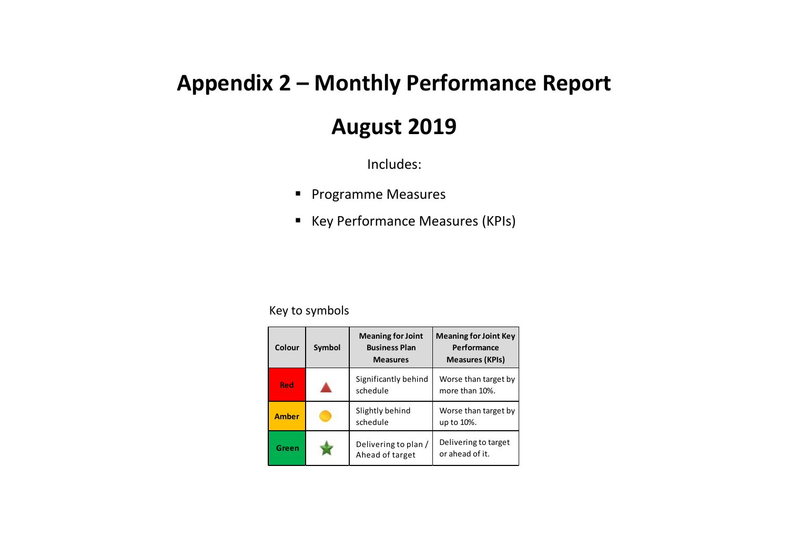## **Appendix 2 – Monthly Performance Report**

## **August 2019**

Includes:

- **Programme Measures**
- Key Performance Measures (KPIs)

## Key to symbols

| Colour       | Symbol | <b>Meaning for Joint</b><br><b>Business Plan</b><br><b>Measures</b> | <b>Meaning for Joint Key</b><br>Performance<br><b>Measures (KPIs)</b> |
|--------------|--------|---------------------------------------------------------------------|-----------------------------------------------------------------------|
| Red          |        | Significantly behind<br>schedule                                    | Worse than target by<br>more than 10%.                                |
| <b>Amber</b> |        | Slightly behind<br>schedule                                         | Worse than target by<br>up to 10%.                                    |
| Green        |        | Delivering to plan /<br>Ahead of target                             | Delivering to target<br>or ahead of it.                               |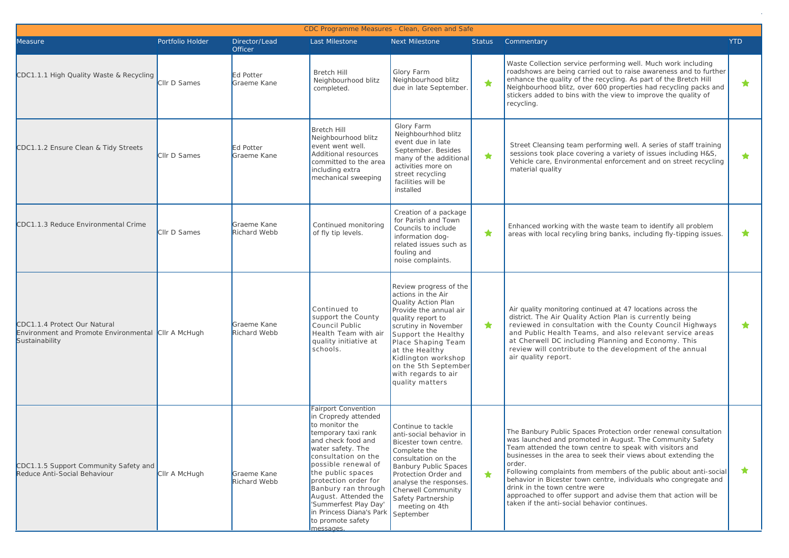|                                                                       | CDC Programme Measures - Clean, Green and Safe<br>Portfolio Holder<br>Director/Lead<br><b>YTD</b><br>Last Milestone<br>Next Milestone<br><b>Status</b><br>Commentary<br><b>Officer</b><br>Waste Collection service performing well. Much work including<br>roadshows are being carried out to raise awareness and to further<br>Glory Farm<br><b>Bretch Hill</b><br><b>Ed Potter</b><br>enhance the quality of the recycling. As part of the Bretch Hill<br>Neighbourhood blitz<br>Neighbourhood blitz<br>★<br>Cllr D Sames<br>Graeme Kane<br>$\star$<br>Neighbourhood blitz, over 600 properties had recycling packs and<br>due in late September.<br>completed.<br>stickers added to bins with the view to improve the quality of<br>recycling.<br>Glory Farm<br>Bretch Hill<br>Neighbourhhod blitz<br>Neighbourhood blitz<br>event due in late<br>Street Cleansing team performing well. A series of staff training<br>event went well.<br><b>Ed Potter</b><br>September. Besides<br>sessions took place covering a variety of issues including H&S,<br>Additional resources<br>Cllr D Sames<br>★<br>★.<br>Graeme Kane<br>many of the additional<br>Vehicle care, Environmental enforcement and on street recycling<br>committed to the area<br>activities more on<br>material quality<br>including extra<br>street recycling<br>mechanical sweeping<br>facilities will be<br>installed<br>Creation of a package<br>for Parish and Town<br>Graeme Kane<br>Continued monitoring<br>Enhanced working with the waste team to identify all problem<br>Councils to include<br>★<br>$\star$<br>Cllr D Sames<br>Richard Webb<br>of fly tip levels.<br>areas with local recyling bring banks, including fly-tipping issues.<br>information dog-<br>related issues such as<br>fouling and<br>noise complaints.<br>Review progress of the<br>actions in the Air<br>Quality Action Plan<br>Air quality monitoring continued at 47 locations across the<br>Continued to<br>Provide the annual air<br>support the County<br>district. The Air Quality Action Plan is currently being<br>quality report to<br>★<br>Graeme Kane<br>$\star$<br>Council Public<br>reviewed in consultation with the County Council Highways<br>scrutiny in November<br>Richard Webb<br>Environment and Promote Environmental CIIr A McHugh<br>and Public Health Teams, and also relevant service areas<br>Health Team with air<br>Support the Healthy<br>at Cherwell DC including Planning and Economy. This<br>quality initiative at<br>Place Shaping Team<br>review will contribute to the development of the annual<br>schools.<br>at the Healthy<br>air quality report.<br>Kidlington workshop<br>on the 5th September<br>with regards to air<br>quality matters |                             |                                                                                                                                                                                                                                                                                                                                                                         |                                                                                                                                                                                                                                                                            |            |                                                                                                                                                                                                                                                                                                                                                                                                                                                                                                                                                                   |   |
|-----------------------------------------------------------------------|----------------------------------------------------------------------------------------------------------------------------------------------------------------------------------------------------------------------------------------------------------------------------------------------------------------------------------------------------------------------------------------------------------------------------------------------------------------------------------------------------------------------------------------------------------------------------------------------------------------------------------------------------------------------------------------------------------------------------------------------------------------------------------------------------------------------------------------------------------------------------------------------------------------------------------------------------------------------------------------------------------------------------------------------------------------------------------------------------------------------------------------------------------------------------------------------------------------------------------------------------------------------------------------------------------------------------------------------------------------------------------------------------------------------------------------------------------------------------------------------------------------------------------------------------------------------------------------------------------------------------------------------------------------------------------------------------------------------------------------------------------------------------------------------------------------------------------------------------------------------------------------------------------------------------------------------------------------------------------------------------------------------------------------------------------------------------------------------------------------------------------------------------------------------------------------------------------------------------------------------------------------------------------------------------------------------------------------------------------------------------------------------------------------------------------------------------------------------------------------------------------------------------------------------------------------------------------------------------------------------------------------------------------------------------------------------------------------------------------------|-----------------------------|-------------------------------------------------------------------------------------------------------------------------------------------------------------------------------------------------------------------------------------------------------------------------------------------------------------------------------------------------------------------------|----------------------------------------------------------------------------------------------------------------------------------------------------------------------------------------------------------------------------------------------------------------------------|------------|-------------------------------------------------------------------------------------------------------------------------------------------------------------------------------------------------------------------------------------------------------------------------------------------------------------------------------------------------------------------------------------------------------------------------------------------------------------------------------------------------------------------------------------------------------------------|---|
| Measure                                                               |                                                                                                                                                                                                                                                                                                                                                                                                                                                                                                                                                                                                                                                                                                                                                                                                                                                                                                                                                                                                                                                                                                                                                                                                                                                                                                                                                                                                                                                                                                                                                                                                                                                                                                                                                                                                                                                                                                                                                                                                                                                                                                                                                                                                                                                                                                                                                                                                                                                                                                                                                                                                                                                                                                                                        |                             |                                                                                                                                                                                                                                                                                                                                                                         |                                                                                                                                                                                                                                                                            |            |                                                                                                                                                                                                                                                                                                                                                                                                                                                                                                                                                                   |   |
| CDC1.1.1 High Quality Waste & Recycling                               |                                                                                                                                                                                                                                                                                                                                                                                                                                                                                                                                                                                                                                                                                                                                                                                                                                                                                                                                                                                                                                                                                                                                                                                                                                                                                                                                                                                                                                                                                                                                                                                                                                                                                                                                                                                                                                                                                                                                                                                                                                                                                                                                                                                                                                                                                                                                                                                                                                                                                                                                                                                                                                                                                                                                        |                             |                                                                                                                                                                                                                                                                                                                                                                         |                                                                                                                                                                                                                                                                            |            |                                                                                                                                                                                                                                                                                                                                                                                                                                                                                                                                                                   |   |
| CDC1.1.2 Ensure Clean & Tidy Streets                                  |                                                                                                                                                                                                                                                                                                                                                                                                                                                                                                                                                                                                                                                                                                                                                                                                                                                                                                                                                                                                                                                                                                                                                                                                                                                                                                                                                                                                                                                                                                                                                                                                                                                                                                                                                                                                                                                                                                                                                                                                                                                                                                                                                                                                                                                                                                                                                                                                                                                                                                                                                                                                                                                                                                                                        |                             |                                                                                                                                                                                                                                                                                                                                                                         |                                                                                                                                                                                                                                                                            |            |                                                                                                                                                                                                                                                                                                                                                                                                                                                                                                                                                                   |   |
| CDC1.1.3 Reduce Environmental Crime                                   |                                                                                                                                                                                                                                                                                                                                                                                                                                                                                                                                                                                                                                                                                                                                                                                                                                                                                                                                                                                                                                                                                                                                                                                                                                                                                                                                                                                                                                                                                                                                                                                                                                                                                                                                                                                                                                                                                                                                                                                                                                                                                                                                                                                                                                                                                                                                                                                                                                                                                                                                                                                                                                                                                                                                        |                             |                                                                                                                                                                                                                                                                                                                                                                         |                                                                                                                                                                                                                                                                            |            |                                                                                                                                                                                                                                                                                                                                                                                                                                                                                                                                                                   |   |
| CDC1.1.4 Protect Our Natural<br>Sustainability                        |                                                                                                                                                                                                                                                                                                                                                                                                                                                                                                                                                                                                                                                                                                                                                                                                                                                                                                                                                                                                                                                                                                                                                                                                                                                                                                                                                                                                                                                                                                                                                                                                                                                                                                                                                                                                                                                                                                                                                                                                                                                                                                                                                                                                                                                                                                                                                                                                                                                                                                                                                                                                                                                                                                                                        |                             |                                                                                                                                                                                                                                                                                                                                                                         |                                                                                                                                                                                                                                                                            |            |                                                                                                                                                                                                                                                                                                                                                                                                                                                                                                                                                                   |   |
| CDC1.1.5 Support Community Safety and<br>Reduce Anti-Social Behaviour | Cllr A McHugh                                                                                                                                                                                                                                                                                                                                                                                                                                                                                                                                                                                                                                                                                                                                                                                                                                                                                                                                                                                                                                                                                                                                                                                                                                                                                                                                                                                                                                                                                                                                                                                                                                                                                                                                                                                                                                                                                                                                                                                                                                                                                                                                                                                                                                                                                                                                                                                                                                                                                                                                                                                                                                                                                                                          | Graeme Kane<br>Richard Webb | <b>Fairport Convention</b><br>in Cropredy attended<br>to monitor the<br>temporary taxi rank<br>and check food and<br>water safety. The<br>consultation on the<br>possible renewal of<br>the public spaces<br>protection order for<br>Banbury ran through<br>August. Attended the<br>'Summerfest Play Day'<br>in Princess Diana's Park<br>to promote safety<br>messages. | Continue to tackle<br>anti-social behavior in<br>Bicester town centre.<br>Complete the<br>consultation on the<br><b>Banbury Public Spaces</b><br>Protection Order and<br>analyse the responses.<br>Cherwell Community<br>Safety Partnership<br>meeting on 4th<br>September | $\bigstar$ | The Banbury Public Spaces Protection order renewal consultation<br>was launched and promoted in August. The Community Safety<br>Team attended the town centre to speak with visitors and<br>businesses in the area to seek their views about extending the<br>order.<br>Following complaints from members of the public about anti-social<br>behavior in Bicester town centre, individuals who congregate and<br>drink in the town centre were<br>approached to offer support and advise them that action will be<br>taken if the anti-social behavior continues. | * |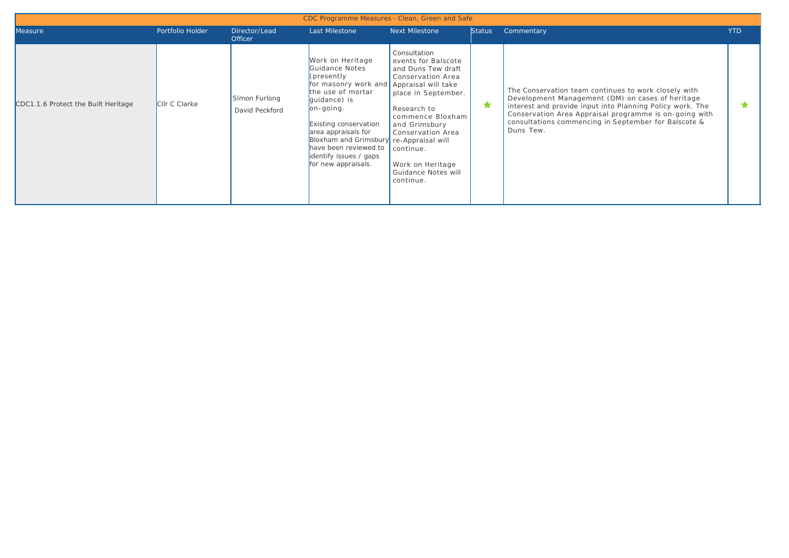|                                     |                  |                                 | CDC Programme Measures - Clean, Green and Safe                                                                                                                                                                                                                                                                       |                                                                                                                                                                                                                                                     |               |                                                                                                                                                                                                                                                                                                      |            |
|-------------------------------------|------------------|---------------------------------|----------------------------------------------------------------------------------------------------------------------------------------------------------------------------------------------------------------------------------------------------------------------------------------------------------------------|-----------------------------------------------------------------------------------------------------------------------------------------------------------------------------------------------------------------------------------------------------|---------------|------------------------------------------------------------------------------------------------------------------------------------------------------------------------------------------------------------------------------------------------------------------------------------------------------|------------|
| Measure                             | Portfolio Holder | Director/Lead<br><b>Officer</b> | Last Milestone                                                                                                                                                                                                                                                                                                       | Next Milestone                                                                                                                                                                                                                                      | <b>Status</b> | Commentary                                                                                                                                                                                                                                                                                           | <b>YTD</b> |
| CDC1.1.6 Protect the Built Heritage | CIIr C Clarke    | Simon Furlong<br>David Peckford | Work on Heritage<br>Guidance Notes<br>(presently)<br>for masonry work and Appraisal will take<br>the use of mortar<br>quidance) is<br>on-going.<br>Existing conservation<br>area appraisals for<br>Bloxham and Grimsbury re-Appraisal will<br>have been reviewed to<br>identify issues / gaps<br>for new appraisals. | Consultation<br>events for Balscote<br>and Duns Tew draft<br>Conservation Area<br>place in September.<br>Research to<br>commence Bloxham<br>and Grimsbury<br>Conservation Area<br>continue.<br>Work on Heritage<br>Guidance Notes will<br>continue. | ★             | The Conservation team continues to work closely with<br>Development Management (DM) on cases of heritage<br>interest and provide input into Planning Policy work. The<br>Conservation Area Appraisal programme is on-going with<br>consultations commencing in September for Balscote &<br>Duns Tew. |            |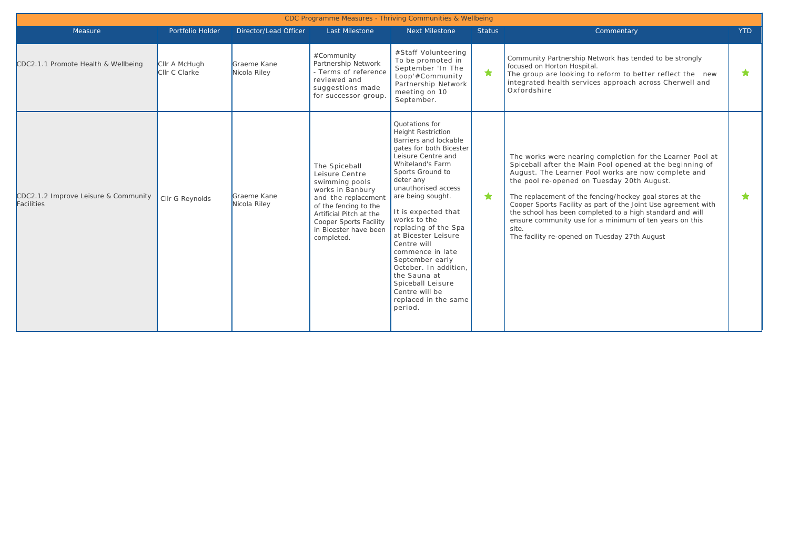|                                                    |                                |                             |                                                                                                                                                                                                                          | CDC Programme Measures - Thriving Communities & Wellbeing                                                                                                                                                                                                                                                                                                                                                                                                                             |               |                                                                                                                                                                                                                                                                                                                                                                                                                                                                                                                                            |            |
|----------------------------------------------------|--------------------------------|-----------------------------|--------------------------------------------------------------------------------------------------------------------------------------------------------------------------------------------------------------------------|---------------------------------------------------------------------------------------------------------------------------------------------------------------------------------------------------------------------------------------------------------------------------------------------------------------------------------------------------------------------------------------------------------------------------------------------------------------------------------------|---------------|--------------------------------------------------------------------------------------------------------------------------------------------------------------------------------------------------------------------------------------------------------------------------------------------------------------------------------------------------------------------------------------------------------------------------------------------------------------------------------------------------------------------------------------------|------------|
| Measure                                            | Portfolio Holder               | Director/Lead Officer       | Last Milestone                                                                                                                                                                                                           | <b>Next Milestone</b>                                                                                                                                                                                                                                                                                                                                                                                                                                                                 | <b>Status</b> | Commentary                                                                                                                                                                                                                                                                                                                                                                                                                                                                                                                                 | <b>YTD</b> |
| CDC2.1.1 Promote Health & Wellbeing                | Cllr A McHugh<br>Cllr C Clarke | Graeme Kane<br>Nicola Riley | #Community<br>Partnership Network<br>- Terms of reference<br>reviewed and<br>suggestions made<br>for successor group                                                                                                     | #Staff Volunteering<br>To be promoted in<br>September 'In The<br>Loop'#Community<br>Partnership Network<br>meeting on 10<br>September.                                                                                                                                                                                                                                                                                                                                                | $\bigstar$    | Community Partnership Network has tended to be strongly<br>focused on Horton Hospital.<br>The group are looking to reform to better reflect the new<br>integrated health services approach across Cherwell and<br>Oxfordshire                                                                                                                                                                                                                                                                                                              | $\bigstar$ |
| CDC2.1.2 Improve Leisure & Community<br>Facilities | Cllr G Reynolds                | Graeme Kane<br>Nicola Riley | The Spiceball<br>Leisure Centre<br>swimming pools<br>works in Banbury<br>and the replacement<br>of the fencing to the<br>Artificial Pitch at the<br><b>Cooper Sports Facility</b><br>in Bicester have been<br>completed. | Quotations for<br><b>Height Restriction</b><br>Barriers and lockable<br>gates for both Bicester<br>Leisure Centre and<br>Whiteland's Farm<br>Sports Ground to<br>deter any<br>unauthorised access<br>are being sought.<br>It is expected that<br>works to the<br>replacing of the Spa<br>at Bicester Leisure<br>Centre will<br>commence in late<br>September early<br>October. In addition.<br>the Sauna at<br>Spiceball Leisure<br>Centre will be<br>replaced in the same<br>period. | ★             | The works were nearing completion for the Learner Pool at<br>Spiceball after the Main Pool opened at the beginning of<br>August. The Learner Pool works are now complete and<br>the pool re-opened on Tuesday 20th August.<br>The replacement of the fencing/hockey goal stores at the<br>Cooper Sports Facility as part of the Joint Use agreement with<br>the school has been completed to a high standard and will<br>ensure community use for a minimum of ten years on this<br>site.<br>The facility re-opened on Tuesday 27th August | $\bigstar$ |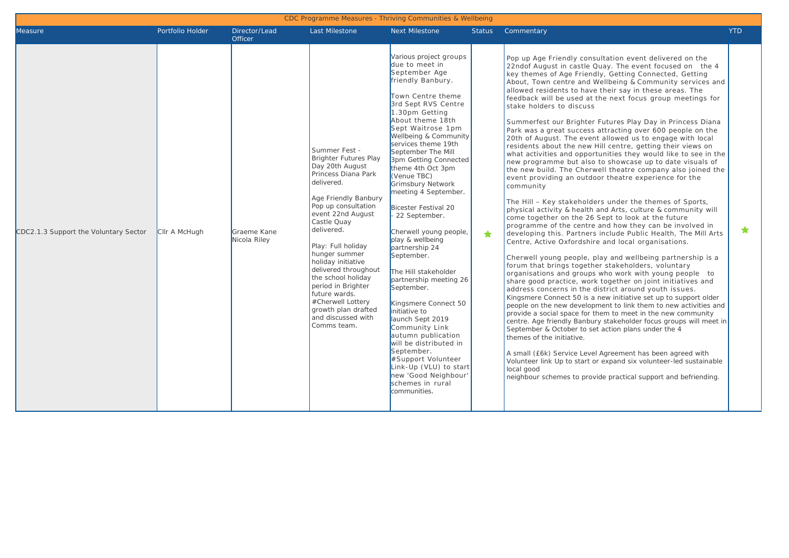| <b>Measure</b>                        | Portfolio Holder | Director/Lead<br>Officer    | <b>Last Milestone</b>                                                                                                                                                                                                                                                                                                                                                                                                                     | Next Milestone                                                                                                                                                                                                                                                                                                                                                                                                                                                                                                                                                                                                                                                                                                                                                                                                               | <b>Status</b> | Commentary                                                                                                                                                                                                                                                                                                                                                                                                                                                                                                                                                                                                                                                                                                                                                                                                                                                                                                                                                                                                                                                                                                                                                                                                                                                                                                                                                                                                                                                                                                                                                                                                                                                                                                                                                                                                                                                                                                                                                                                                                                                                                                                                                                                      | <b>YTD</b> |
|---------------------------------------|------------------|-----------------------------|-------------------------------------------------------------------------------------------------------------------------------------------------------------------------------------------------------------------------------------------------------------------------------------------------------------------------------------------------------------------------------------------------------------------------------------------|------------------------------------------------------------------------------------------------------------------------------------------------------------------------------------------------------------------------------------------------------------------------------------------------------------------------------------------------------------------------------------------------------------------------------------------------------------------------------------------------------------------------------------------------------------------------------------------------------------------------------------------------------------------------------------------------------------------------------------------------------------------------------------------------------------------------------|---------------|-------------------------------------------------------------------------------------------------------------------------------------------------------------------------------------------------------------------------------------------------------------------------------------------------------------------------------------------------------------------------------------------------------------------------------------------------------------------------------------------------------------------------------------------------------------------------------------------------------------------------------------------------------------------------------------------------------------------------------------------------------------------------------------------------------------------------------------------------------------------------------------------------------------------------------------------------------------------------------------------------------------------------------------------------------------------------------------------------------------------------------------------------------------------------------------------------------------------------------------------------------------------------------------------------------------------------------------------------------------------------------------------------------------------------------------------------------------------------------------------------------------------------------------------------------------------------------------------------------------------------------------------------------------------------------------------------------------------------------------------------------------------------------------------------------------------------------------------------------------------------------------------------------------------------------------------------------------------------------------------------------------------------------------------------------------------------------------------------------------------------------------------------------------------------------------------------|------------|
| CDC2.1.3 Support the Voluntary Sector | CIIr A McHuah    | Graeme Kane<br>Nicola Riley | Summer Fest -<br><b>Brighter Futures Play</b><br>Day 20th August<br>Princess Diana Park<br>delivered.<br>Age Friendly Banbury<br>Pop up consultation<br>event 22nd August<br>Castle Quay<br>delivered.<br>Play: Full holiday<br>hunger summer<br>holiday initiative<br>delivered throughout<br>the school holiday<br>period in Brighter<br>future wards.<br>#Cherwell Lottery<br>growth plan drafted<br>and discussed with<br>Comms team. | Various project groups<br>due to meet in<br>September Age<br>friendly Banbury.<br>Town Centre theme<br>3rd Sept RVS Centre<br>1.30pm Getting<br>About theme 18th<br>Sept Waitrose 1pm<br>Wellbeing & Community<br>services theme 19th<br>September The Mill<br>3pm Getting Connected<br>theme 4th Oct 3pm<br>(Venue TBC)<br>Grimsbury Network<br>meeting 4 September.<br><b>Bicester Festival 20</b><br>22 September.<br>Cherwell young people,<br>play & wellbeing<br>partnership 24<br>September.<br>The Hill stakeholder<br>partnership meeting 26<br>September.<br>Kingsmere Connect 50<br>initiative to<br>launch Sept 2019<br>Community Link<br>autumn publication<br>will be distributed in<br>September.<br>#Support Volunteer<br>Link-Up (VLU) to start<br>new 'Good Neighbour'<br>schemes in rural<br>communities. | $\bigstar$    | Pop up Age Friendly consultation event delivered on the<br>22nd of August in castle Quay. The event focused on the 4<br>key themes of Age Friendly, Getting Connected, Getting<br>About, Town centre and Wellbeing & Community services and<br>allowed residents to have their say in these areas. The<br>feedback will be used at the next focus group meetings for<br>stake holders to discuss<br>Summerfest our Brighter Futures Play Day in Princess Diana<br>Park was a great success attracting over 600 people on the<br>20th of August. The event allowed us to engage with local<br>residents about the new Hill centre, getting their views on<br>what activities and opportunities they would like to see in the<br>new programme but also to showcase up to date visuals of<br>the new build. The Cherwell theatre company also joined the<br>event providing an outdoor theatre experience for the<br>community<br>The Hill - Key stakeholders under the themes of Sports,<br>physical activity & health and Arts, culture & community will<br>come together on the 26 Sept to look at the future<br>programme of the centre and how they can be involved in<br>developing this. Partners include Public Health, The Mill Arts<br>Centre, Active Oxfordshire and local organisations.<br>Cherwell young people, play and wellbeing partnership is a<br>forum that brings together stakeholders, voluntary<br>organisations and groups who work with young people to<br>share good practice, work together on joint initiatives and<br>address concerns in the district around youth issues.<br>Kingsmere Connect 50 is a new initiative set up to support older<br>people on the new development to link them to new activities and<br>provide a social space for them to meet in the new community<br>centre. Age friendly Banbury stakeholder focus groups will meet in<br>September & October to set action plans under the 4<br>themes of the initiative.<br>A small (£6k) Service Level Agreement has been agreed with<br>Volunteer link Up to start or expand six volunteer-led sustainable<br>local good<br>neighbour schemes to provide practical support and befriending. | $\star$    |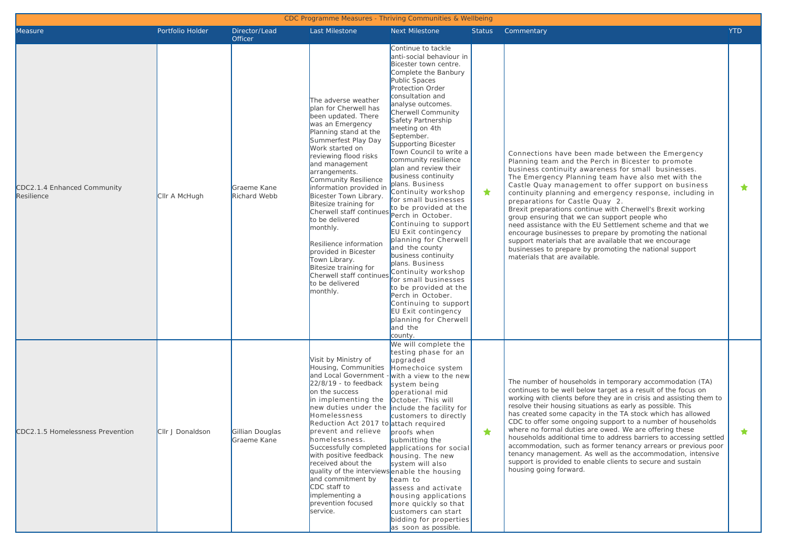| Measure                                   | Portfolio Holder | Director/Lead<br><b>Officer</b> | Last Milestone                                                                                                                                                                                                                                                                                                                                                                                                                                                                                                                                 | <b>Next Milestone</b>                                                                                                                                                                                                                                                                                                                                                                                                                                                                                                                                                                                                                                                                                                                                                                                                                | Status | Commentary                                                                                                                                                                                                                                                                                                                                                                                                                                                                                                                                                                                                                                                                                                                                                                | <b>YTD</b> |
|-------------------------------------------|------------------|---------------------------------|------------------------------------------------------------------------------------------------------------------------------------------------------------------------------------------------------------------------------------------------------------------------------------------------------------------------------------------------------------------------------------------------------------------------------------------------------------------------------------------------------------------------------------------------|--------------------------------------------------------------------------------------------------------------------------------------------------------------------------------------------------------------------------------------------------------------------------------------------------------------------------------------------------------------------------------------------------------------------------------------------------------------------------------------------------------------------------------------------------------------------------------------------------------------------------------------------------------------------------------------------------------------------------------------------------------------------------------------------------------------------------------------|--------|---------------------------------------------------------------------------------------------------------------------------------------------------------------------------------------------------------------------------------------------------------------------------------------------------------------------------------------------------------------------------------------------------------------------------------------------------------------------------------------------------------------------------------------------------------------------------------------------------------------------------------------------------------------------------------------------------------------------------------------------------------------------------|------------|
| CDC2.1.4 Enhanced Community<br>Resilience | CIIr A McHugh    | Graeme Kane<br>Richard Webb     | The adverse weather<br>plan for Cherwell has<br>been updated. There<br>was an Emergency<br>Planning stand at the<br>Summerfest Play Day<br>Work started on<br>reviewing flood risks<br>and management<br>arrangements.<br>Community Resilience<br>information provided in<br>Bicester Town Library.<br>Bitesize training for<br>Cherwell staff continues<br>to be delivered<br>monthly.<br>Resilience information<br>provided in Bicester<br>Town Library.<br>Bitesize training for<br>Cherwell staff continues<br>to be delivered<br>monthly. | Continue to tackle<br>anti-social behaviour in<br>Bicester town centre.<br>Complete the Banbury<br>Public Spaces<br>Protection Order<br>consultation and<br>analyse outcomes.<br>Cherwell Community<br>Safety Partnership<br>meeting on 4th<br>September.<br>Supporting Bicester<br>Town Council to write a<br>community resilience<br>plan and review their<br>business continuity<br>plans. Business<br>Continuity workshop<br>for small businesses<br>to be provided at the<br>Perch in October.<br>Continuing to support<br>EU Exit contingency<br>planning for Cherwell<br>and the county<br>business continuity<br>plans. Business<br>Continuity workshop<br>for small businesses<br>to be provided at the<br>Perch in October.<br>Continuing to support<br>EU Exit contingency<br>planning for Cherwell<br>and the<br>county. | ★      | Connections have been made between the Emergency<br>Planning team and the Perch in Bicester to promote<br>business continuity awareness for small businesses.<br>The Emergency Planning team have also met with the<br>Castle Quay management to offer support on business<br>continuity planning and emergency response, including in<br>preparations for Castle Quay 2.<br>Brexit preparations continue with Cherwell's Brexit working<br>group ensuring that we can support people who<br>need assistance with the EU Settlement scheme and that we<br>encourage businesses to prepare by promoting the national<br>support materials that are available that we encourage<br>businesses to prepare by promoting the national support<br>materials that are available. | ★          |
| CDC2.1.5 Homelessness Prevention          | CIIr J Donaldson | Gillian Douglas<br>Graeme Kane  | Visit by Ministry of<br>Housing, Communities<br>and Local Government<br>22/8/19 - to feedback<br>on the success<br>in implementing the<br>Homelessness<br>Reduction Act 2017 to attach required<br>prevent and relieve<br>homelessness.<br>with positive feedback<br>received about the<br>quality of the interviews enable the housing<br>and commitment by<br>CDC staff to<br>implementing a<br>prevention focused<br>service.                                                                                                               | We will complete the<br>testing phase for an<br>upgraded<br>Homechoice system<br>-with a view to the new<br>system being<br>operational mid<br>October. This will<br>new duties under the include the facility for<br>customers to directly<br>proofs when<br>submitting the<br>Successfully completed applications for social<br>housing. The new<br>system will also<br>team to<br>assess and activate<br>housing applications<br>more quickly so that<br>customers can start<br>bidding for properties<br>as soon as possible.                                                                                                                                                                                                                                                                                                    | ★      | The number of households in temporary accommodation (TA)<br>continues to be well below target as a result of the focus on<br>working with clients before they are in crisis and assisting them to<br>resolve their housing situations as early as possible. This<br>has created some capacity in the TA stock which has allowed<br>CDC to offer some ongoing support to a number of households<br>where no formal duties are owed. We are offering these<br>households additional time to address barriers to accessing settled<br>accommodation, such as former tenancy arrears or previous poor<br>tenancy management. As well as the accommodation, intensive<br>support is provided to enable clients to secure and sustain<br>housing going forward.                 | ★          |

CDC Programme Measures Thriving Communities & Wellbei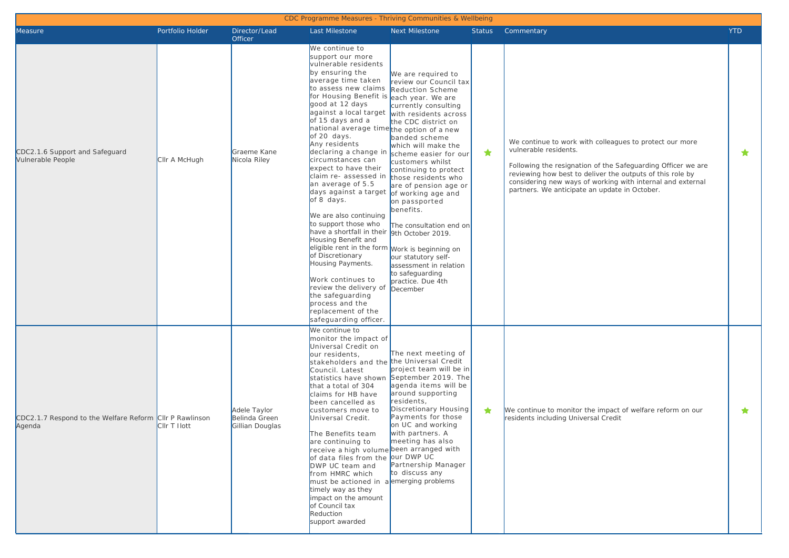|                                                                   |                  |                                                  | CDC Programme Measures - Thriving Communities & Wellbeing                                                                                                                                                                                                                                                                                                                                                                                                                                                                                                                                                                                                                                                                                                                                            |                                                                                                                                                                                                                                                                                                                                                                                                                                                                                                                                             |               |                                                                                                                                                                                                                                                                                                                              |            |
|-------------------------------------------------------------------|------------------|--------------------------------------------------|------------------------------------------------------------------------------------------------------------------------------------------------------------------------------------------------------------------------------------------------------------------------------------------------------------------------------------------------------------------------------------------------------------------------------------------------------------------------------------------------------------------------------------------------------------------------------------------------------------------------------------------------------------------------------------------------------------------------------------------------------------------------------------------------------|---------------------------------------------------------------------------------------------------------------------------------------------------------------------------------------------------------------------------------------------------------------------------------------------------------------------------------------------------------------------------------------------------------------------------------------------------------------------------------------------------------------------------------------------|---------------|------------------------------------------------------------------------------------------------------------------------------------------------------------------------------------------------------------------------------------------------------------------------------------------------------------------------------|------------|
| Measure                                                           | Portfolio Holder | Director/Lead                                    | Last Milestone                                                                                                                                                                                                                                                                                                                                                                                                                                                                                                                                                                                                                                                                                                                                                                                       | Next Milestone                                                                                                                                                                                                                                                                                                                                                                                                                                                                                                                              | <b>Status</b> | Commentary                                                                                                                                                                                                                                                                                                                   | <b>YTD</b> |
| CDC2.1.6 Support and Safeguard<br>Vulnerable People               | CIIr A McHugh    | Officer<br>Graeme Kane<br>Nicola Riley           | We continue to<br>support our more<br>vulnerable residents<br>by ensuring the<br>average time taken<br>to assess new claims<br>for Housing Benefit is<br>good at 12 days<br>against a local target<br>of 15 days and a<br>national average time the option of a new<br>of 20 days.<br>Any residents<br>declaring a change in<br>circumstances can<br>expect to have their<br>claim re- assessed in<br>an average of 5.5<br>days against a target<br>of 8 days.<br>We are also continuing<br>to support those who<br>have a shortfall in their<br>Housing Benefit and<br>eligible rent in the form Work is beginning on<br>of Discretionary<br>Housing Payments.<br>Work continues to<br>review the delivery of<br>the safeguarding<br>process and the<br>replacement of the<br>safeguarding officer. | We are required to<br>review our Council tax<br><b>Reduction Scheme</b><br>each year. We are<br>currently consulting<br>with residents across<br>the CDC district on<br>banded scheme<br>which will make the<br>scheme easier for our<br>customers whilst<br>continuing to protect<br>those residents who<br>are of pension age or<br>of working age and<br>on passported<br>benefits.<br>The consultation end on<br>9th October 2019.<br>our statutory self-<br>assessment in relation<br>to safeguarding<br>practice. Due 4th<br>December | ★             | We continue to work with colleagues to protect our more<br>vulnerable residents.<br>Following the resignation of the Safeguarding Officer we are<br>reviewing how best to deliver the outputs of this role by<br>considering new ways of working with internal and external<br>partners. We anticipate an update in October. | ★          |
| CDC2.1.7 Respond to the Welfare Reform CIIr P Rawlinson<br>Agenda | CIIr T Ilott     | Adele Taylor<br>Belinda Green<br>Gillian Douglas | We continue to<br>monitor the impact of<br>Universal Credit on<br>our residents,<br>stakeholders and the the Universal Credit<br>Council. Latest<br>statistics have shown<br>that a total of 304<br>claims for HB have<br>been cancelled as<br>customers move to<br>Universal Credit.<br>The Benefits team<br>are continuing to<br>receive a high volume been arranged with<br>of data files from the our DWP UC<br>DWP UC team and<br>from HMRC which<br>must be actioned in a emerging problems<br>timely way as they<br>impact on the amount<br>of Council tax<br><b>Reduction</b><br>support awarded                                                                                                                                                                                             | The next meeting of<br>project team will be in<br>September 2019. The<br>agenda items will be<br>around supporting<br>residents,<br>Discretionary Housing<br>Payments for those<br>on UC and working<br>with partners. A<br>meeting has also<br>Partnership Manager<br>to discuss any                                                                                                                                                                                                                                                       | ★             | We continue to monitor the impact of welfare reform on our<br>residents including Universal Credit                                                                                                                                                                                                                           | ★          |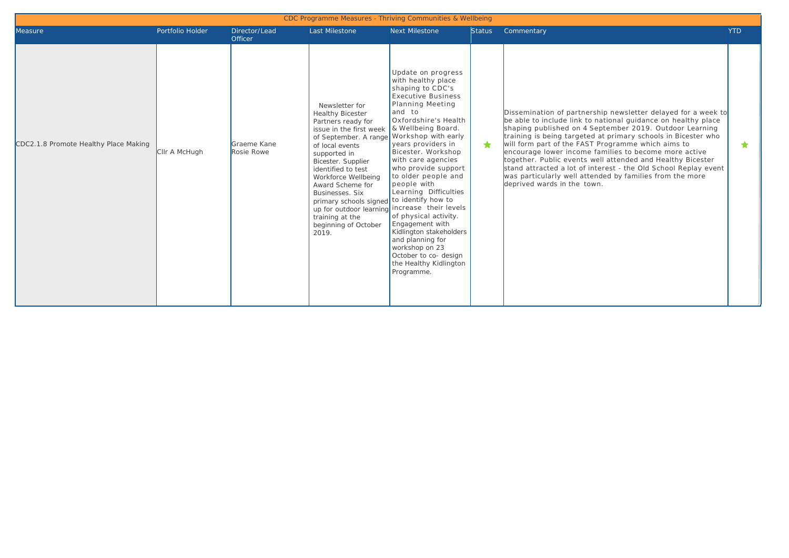|                                       | CDC Programme Measures - Thriving Communities & Wellbeing |                                 |                                                                                                                                                                                                                                                                                                                                                                   |                                                                                                                                                                                                                                                                                                                                                                                                                                                                                                                                                                                            |               |                                                                                                                                                                                                                                                                                                                                                                                                                                                                                                                                                                                                       |            |  |  |  |  |  |
|---------------------------------------|-----------------------------------------------------------|---------------------------------|-------------------------------------------------------------------------------------------------------------------------------------------------------------------------------------------------------------------------------------------------------------------------------------------------------------------------------------------------------------------|--------------------------------------------------------------------------------------------------------------------------------------------------------------------------------------------------------------------------------------------------------------------------------------------------------------------------------------------------------------------------------------------------------------------------------------------------------------------------------------------------------------------------------------------------------------------------------------------|---------------|-------------------------------------------------------------------------------------------------------------------------------------------------------------------------------------------------------------------------------------------------------------------------------------------------------------------------------------------------------------------------------------------------------------------------------------------------------------------------------------------------------------------------------------------------------------------------------------------------------|------------|--|--|--|--|--|
| Measure                               | Portfolio Holder                                          | Director/Lead<br><b>Officer</b> | Last Milestone                                                                                                                                                                                                                                                                                                                                                    | <b>Next Milestone</b>                                                                                                                                                                                                                                                                                                                                                                                                                                                                                                                                                                      | <b>Status</b> | Commentary                                                                                                                                                                                                                                                                                                                                                                                                                                                                                                                                                                                            | <b>YTD</b> |  |  |  |  |  |
| CDC2.1.8 Promote Healthy Place Making | CIIr A McHugh                                             | Graeme Kane<br>Rosie Rowe       | Newsletter for<br><b>Healthy Bicester</b><br>Partners ready for<br>issue in the first week<br>of September. A range<br>of local events<br>supported in<br>Bicester. Supplier<br>identified to test<br>Workforce Wellbeing<br>Award Scheme for<br>Businesses, Six<br>primary schools signed to identify how to<br>training at the<br>beginning of October<br>2019. | Update on progress<br>with healthy place<br>shaping to CDC's<br><b>Executive Business</b><br><b>Planning Meeting</b><br>and to<br>Oxfordshire's Health<br>& Wellbeing Board.<br>Workshop with early<br>years providers in<br>Bicester. Workshop<br>with care agencies<br>who provide support<br>to older people and<br>people with<br>Learning Difficulties<br>up for outdoor learning increase their levels<br>of physical activity.<br>Engagement with<br>Kidlington stakeholders<br>and planning for<br>workshop on 23<br>October to co- design<br>the Healthy Kidlington<br>Programme. | ٠             | Dissemination of partnership newsletter delayed for a week to<br>be able to include link to national guidance on healthy place<br>shaping published on 4 September 2019. Outdoor Learning<br>training is being targeted at primary schools in Bicester who<br>will form part of the FAST Programme which aims to<br>encourage lower income families to become more active<br>together. Public events well attended and Healthy Bicester<br>stand attracted a lot of interest - the Old School Replay event<br>was particularly well attended by families from the more<br>deprived wards in the town. | $\bigstar$ |  |  |  |  |  |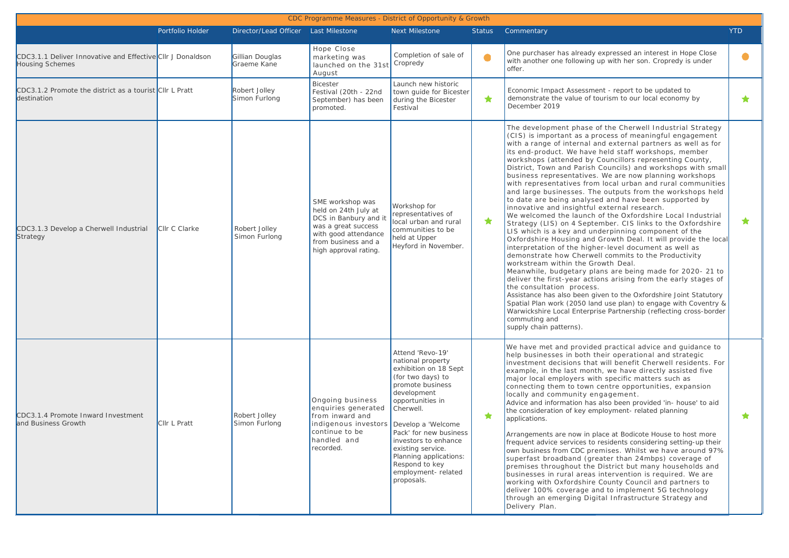|                                                                                      |                  |                                         | CDC Programme Measures - District of Opportunity & Growth                                                                                                        |                                                                                                                                                                                                                                                                                                                |               |                                                                                                                                                                                                                                                                                                                                                                                                                                                                                                                                                                                                                                                                                                                                                                                                                                                                                                                                                                                                                                                                                                                                                                                                                                                                                                                                                                                                                                                                                                                  |            |
|--------------------------------------------------------------------------------------|------------------|-----------------------------------------|------------------------------------------------------------------------------------------------------------------------------------------------------------------|----------------------------------------------------------------------------------------------------------------------------------------------------------------------------------------------------------------------------------------------------------------------------------------------------------------|---------------|------------------------------------------------------------------------------------------------------------------------------------------------------------------------------------------------------------------------------------------------------------------------------------------------------------------------------------------------------------------------------------------------------------------------------------------------------------------------------------------------------------------------------------------------------------------------------------------------------------------------------------------------------------------------------------------------------------------------------------------------------------------------------------------------------------------------------------------------------------------------------------------------------------------------------------------------------------------------------------------------------------------------------------------------------------------------------------------------------------------------------------------------------------------------------------------------------------------------------------------------------------------------------------------------------------------------------------------------------------------------------------------------------------------------------------------------------------------------------------------------------------------|------------|
|                                                                                      | Portfolio Holder | Director/Lead Officer    Last Milestone |                                                                                                                                                                  | <b>Next Milestone</b>                                                                                                                                                                                                                                                                                          | <b>Status</b> | Commentary                                                                                                                                                                                                                                                                                                                                                                                                                                                                                                                                                                                                                                                                                                                                                                                                                                                                                                                                                                                                                                                                                                                                                                                                                                                                                                                                                                                                                                                                                                       | <b>YTD</b> |
| CDC3.1.1 Deliver Innovative and Effective CIIr J Donaldson<br><b>Housing Schemes</b> |                  | Gillian Douglas<br>Graeme Kane          | Hope Close<br>marketing was<br>launched on the 31st Cropredy<br>August                                                                                           | Completion of sale of                                                                                                                                                                                                                                                                                          | $\bullet$     | One purchaser has already expressed an interest in Hope Close<br>with another one following up with her son. Cropredy is under<br>offer.                                                                                                                                                                                                                                                                                                                                                                                                                                                                                                                                                                                                                                                                                                                                                                                                                                                                                                                                                                                                                                                                                                                                                                                                                                                                                                                                                                         |            |
| CDC3.1.2 Promote the district as a tourist CIIr L Pratt<br>destination               |                  | Robert Jolley<br>Simon Furlong          | <b>Bicester</b><br>Festival (20th - 22nd<br>September) has been<br>promoted.                                                                                     | Launch new historic<br>town guide for Bicester<br>during the Bicester<br>Festival                                                                                                                                                                                                                              | ★             | Economic Impact Assessment - report to be updated to<br>demonstrate the value of tourism to our local economy by<br>December 2019                                                                                                                                                                                                                                                                                                                                                                                                                                                                                                                                                                                                                                                                                                                                                                                                                                                                                                                                                                                                                                                                                                                                                                                                                                                                                                                                                                                | ★          |
| CDC3.1.3 Develop a Cherwell Industrial<br>Strategy                                   | CIIr C Clarke    | Robert Jolley<br>Simon Furlong          | SME workshop was<br>held on 24th July at<br>DCS in Banbury and it<br>was a great success<br>with good attendance<br>from business and a<br>high approval rating. | Workshop for<br>representatives of<br>local urban and rural<br>communities to be<br>held at Upper<br>Heyford in November.                                                                                                                                                                                      | ★             | The development phase of the Cherwell Industrial Strategy<br>(CIS) is important as a process of meaningful engagement<br>with a range of internal and external partners as well as for<br>its end-product. We have held staff workshops, member<br>workshops (attended by Councillors representing County,<br>District, Town and Parish Councils) and workshops with small<br>business representatives. We are now planning workshops<br>with representatives from local urban and rural communities<br>and large businesses. The outputs from the workshops held<br>to date are being analysed and have been supported by<br>innovative and insightful external research.<br>We welcomed the launch of the Oxfordshire Local Industrial<br>Strategy (LIS) on 4 September. CIS links to the Oxfordshire<br>LIS which is a key and underpinning component of the<br>Oxfordshire Housing and Growth Deal. It will provide the local<br>interpretation of the higher-level document as well as<br>demonstrate how Cherwell commits to the Productivity<br>workstream within the Growth Deal.<br>Meanwhile, budgetary plans are being made for 2020-21 to<br>deliver the first-year actions arising from the early stages of<br>the consultation process.<br>Assistance has also been given to the Oxfordshire Joint Statutory<br>Spatial Plan work (2050 land use plan) to engage with Coventry &<br>Warwickshire Local Enterprise Partnership (reflecting cross-border<br>commuting and<br>supply chain patterns). | $\bigstar$ |
| CDC3.1.4 Promote Inward Investment<br>and Business Growth                            | Cllr L Pratt     | Robert Jolley<br>Simon Furlong          | Ongoing business<br>enquiries generated<br>from inward and<br>indigenous investors   Develop a 'Welcome<br>continue to be<br>handled and<br>recorded.            | Attend 'Revo-19'<br>national property<br>exhibition on 18 Sept<br>(for two days) to<br>promote business<br>development<br>opportunities in<br>Cherwell.<br>Pack' for new business<br>investors to enhance<br>existing service.<br>Planning applications:<br>Respond to key<br>employment-related<br>proposals. | ★             | We have met and provided practical advice and guidance to<br>help businesses in both their operational and strategic<br>investment decisions that will benefit Cherwell residents. For<br>example, in the last month, we have directly assisted five<br>major local employers with specific matters such as<br>connecting them to town centre opportunities, expansion<br>locally and community engagement.<br>Advice and information has also been provided 'in- house' to aid<br>the consideration of key employment- related planning<br>applications.<br>Arrangements are now in place at Bodicote House to host more<br>frequent advice services to residents considering setting-up their<br>own business from CDC premises. Whilst we have around 97%<br>superfast broadband (greater than 24mbps) coverage of<br>premises throughout the District but many households and<br>businesses in rural areas intervention is required. We are<br>working with Oxfordshire County Council and partners to<br>deliver 100% coverage and to implement 5G technology<br>through an emerging Digital Infrastructure Strategy and<br>Delivery Plan.                                                                                                                                                                                                                                                                                                                                                                  | ★          |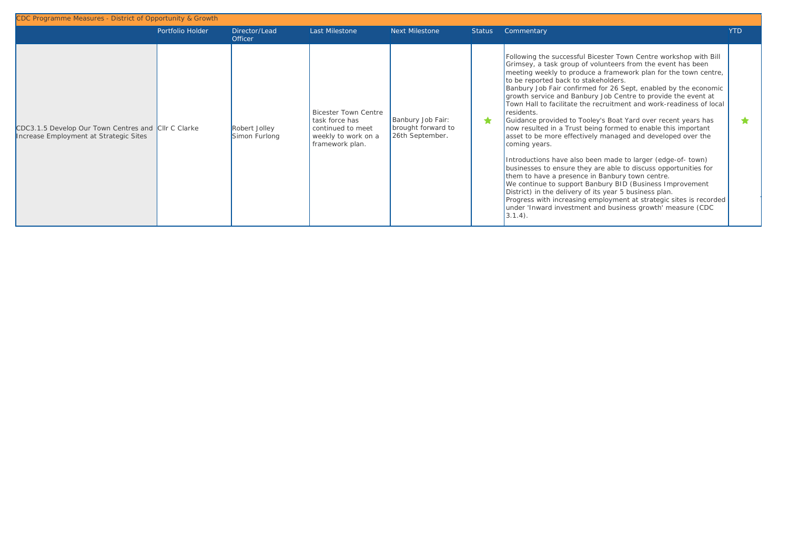|                                                                                               | Portfolio Holder | Director/Lead<br><b>Officer</b> | Last Milestone                                                                                               | <b>Next Milestone</b>                                      | <b>Status</b> | Commentary                                                                                                                                                                                                                                                                                                                                                                                                                                                                                                                                                                                                                                                                                                                                                                                                                                                                                                                                                                                                                                                                                                                                       | <b>YTD</b> |
|-----------------------------------------------------------------------------------------------|------------------|---------------------------------|--------------------------------------------------------------------------------------------------------------|------------------------------------------------------------|---------------|--------------------------------------------------------------------------------------------------------------------------------------------------------------------------------------------------------------------------------------------------------------------------------------------------------------------------------------------------------------------------------------------------------------------------------------------------------------------------------------------------------------------------------------------------------------------------------------------------------------------------------------------------------------------------------------------------------------------------------------------------------------------------------------------------------------------------------------------------------------------------------------------------------------------------------------------------------------------------------------------------------------------------------------------------------------------------------------------------------------------------------------------------|------------|
| CDC3.1.5 Develop Our Town Centres and CIIr C Clarke<br>Increase Employment at Strategic Sites |                  | Robert Jolley<br>Simon Furlong  | <b>Bicester Town Centre</b><br>task force has<br>continued to meet<br>weekly to work on a<br>framework plan. | Banbury Job Fair:<br>brought forward to<br>26th September. | *             | Following the successful Bicester Town Centre workshop with Bill<br>Grimsey, a task group of volunteers from the event has been<br>meeting weekly to produce a framework plan for the town centre,<br>to be reported back to stakeholders.<br>Banbury Job Fair confirmed for 26 Sept, enabled by the economic<br>growth service and Banbury Job Centre to provide the event at<br>Town Hall to facilitate the recruitment and work-readiness of local<br>residents.<br>Guidance provided to Tooley's Boat Yard over recent years has<br>now resulted in a Trust being formed to enable this important<br>asset to be more effectively managed and developed over the<br>coming years.<br>Introductions have also been made to larger (edge-of-town)<br>businesses to ensure they are able to discuss opportunities for<br>them to have a presence in Banbury town centre.<br>We continue to support Banbury BID (Business Improvement<br>District) in the delivery of its year 5 business plan.<br>Progress with increasing employment at strategic sites is recorded<br>under 'Inward investment and business growth' measure (CDC<br>$3.1.4$ . |            |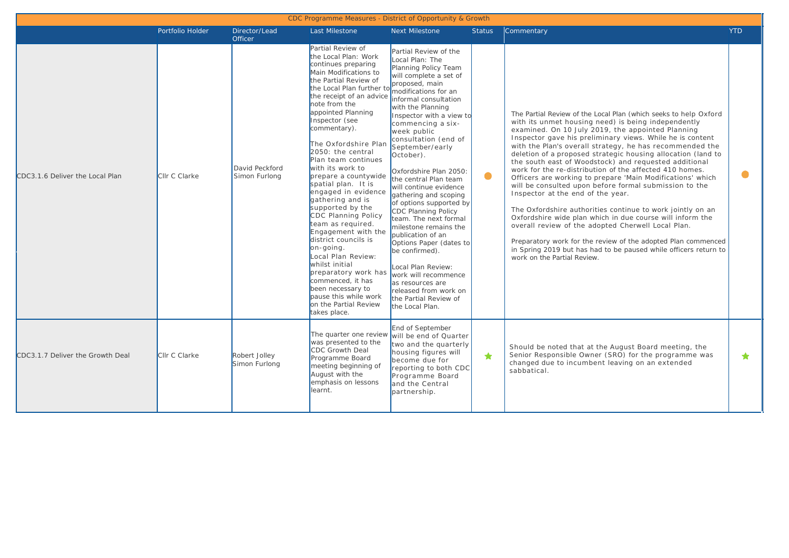| CDC Programme Measures - District of Opportunity & Growth |                  |                                 |                                                                                                                                                                                                                                                                                                                                                                                                                                                                                                                                                                                                                                                                                                                                                                                           |                                                                                                                                                                                                                                                                                                                                                                                                                                                                                                                                                                                                                                                                              |               |                                                                                                                                                                                                                                                                                                                                                                                                                                                                                                                                                                                                                                                                                                                                                                                                                                                                                                                                                                                                             |            |  |  |  |  |
|-----------------------------------------------------------|------------------|---------------------------------|-------------------------------------------------------------------------------------------------------------------------------------------------------------------------------------------------------------------------------------------------------------------------------------------------------------------------------------------------------------------------------------------------------------------------------------------------------------------------------------------------------------------------------------------------------------------------------------------------------------------------------------------------------------------------------------------------------------------------------------------------------------------------------------------|------------------------------------------------------------------------------------------------------------------------------------------------------------------------------------------------------------------------------------------------------------------------------------------------------------------------------------------------------------------------------------------------------------------------------------------------------------------------------------------------------------------------------------------------------------------------------------------------------------------------------------------------------------------------------|---------------|-------------------------------------------------------------------------------------------------------------------------------------------------------------------------------------------------------------------------------------------------------------------------------------------------------------------------------------------------------------------------------------------------------------------------------------------------------------------------------------------------------------------------------------------------------------------------------------------------------------------------------------------------------------------------------------------------------------------------------------------------------------------------------------------------------------------------------------------------------------------------------------------------------------------------------------------------------------------------------------------------------------|------------|--|--|--|--|
|                                                           | Portfolio Holder | Director/Lead<br><b>Officer</b> | Last Milestone                                                                                                                                                                                                                                                                                                                                                                                                                                                                                                                                                                                                                                                                                                                                                                            | Next Milestone                                                                                                                                                                                                                                                                                                                                                                                                                                                                                                                                                                                                                                                               | <b>Status</b> | Commentary                                                                                                                                                                                                                                                                                                                                                                                                                                                                                                                                                                                                                                                                                                                                                                                                                                                                                                                                                                                                  | <b>YTD</b> |  |  |  |  |
| CDC3.1.6 Deliver the Local Plan                           | Cllr C Clarke    | David Peckford<br>Simon Furlong | Partial Review of<br>the Local Plan: Work<br>continues preparing<br>Main Modifications to<br>the Partial Review of<br>the Local Plan further to modifications for an<br>the receipt of an advice informal consultation<br>note from the<br>appointed Planning<br>Inspector (see<br>commentary).<br>The Oxfordshire Plan<br>2050: the central<br>Plan team continues<br>with its work to<br>prepare a countywide<br>spatial plan. It is<br>engaged in evidence<br>gathering and is<br>supported by the<br>CDC Planning Policy<br>team as required.<br>Engagement with the<br>district councils is<br>on-going.<br>Local Plan Review:<br>whilst initial<br>preparatory work has<br>commenced, it has<br>been necessary to<br>pause this while work<br>on the Partial Review<br>takes place. | Partial Review of the<br>Local Plan: The<br>Planning Policy Team<br>will complete a set of<br>proposed, main<br>with the Planning<br>Inspector with a view to<br>commencing a six-<br>week public<br>consultation (end of<br>September/early<br>October).<br>Oxfordshire Plan 2050:<br>the central Plan team<br>will continue evidence<br>gathering and scoping<br>of options supported by<br>CDC Planning Policy<br>team. The next formal<br>milestone remains the<br>publication of an<br>Options Paper (dates to<br>be confirmed).<br>Local Plan Review:<br>work will recommence<br>as resources are<br>released from work on<br>the Partial Review of<br>the Local Plan. | $\bullet$     | The Partial Review of the Local Plan (which seeks to help Oxford<br>with its unmet housing need) is being independently<br>examined. On 10 July 2019, the appointed Planning<br>Inspector gave his preliminary views. While he is content<br>with the Plan's overall strategy, he has recommended the<br>deletion of a proposed strategic housing allocation (land to<br>the south east of Woodstock) and requested additional<br>work for the re-distribution of the affected 410 homes.<br>Officers are working to prepare 'Main Modifications' which<br>will be consulted upon before formal submission to the<br>Inspector at the end of the year.<br>The Oxfordshire authorities continue to work jointly on an<br>Oxfordshire wide plan which in due course will inform the<br>overall review of the adopted Cherwell Local Plan.<br>Preparatory work for the review of the adopted Plan commenced<br>in Spring 2019 but has had to be paused while officers return to<br>work on the Partial Review. | $\bullet$  |  |  |  |  |
| CDC3.1.7 Deliver the Growth Deal                          | Cllr C Clarke    | Robert Jolley<br>Simon Furlong  | was presented to the<br><b>CDC</b> Growth Deal<br>Programme Board<br>meeting beginning of<br>August with the<br>emphasis on lessons<br>learnt.                                                                                                                                                                                                                                                                                                                                                                                                                                                                                                                                                                                                                                            | End of September<br>The quarter one review will be end of Quarter<br>two and the quarterly<br>housing figures will<br>become due for<br>reporting to both CDC<br>Programme Board<br>and the Central<br>partnership.                                                                                                                                                                                                                                                                                                                                                                                                                                                          | ★             | Should be noted that at the August Board meeting, the<br>Senior Responsible Owner (SRO) for the programme was<br>changed due to incumbent leaving on an extended<br>sabbatical.                                                                                                                                                                                                                                                                                                                                                                                                                                                                                                                                                                                                                                                                                                                                                                                                                             | $\bigstar$ |  |  |  |  |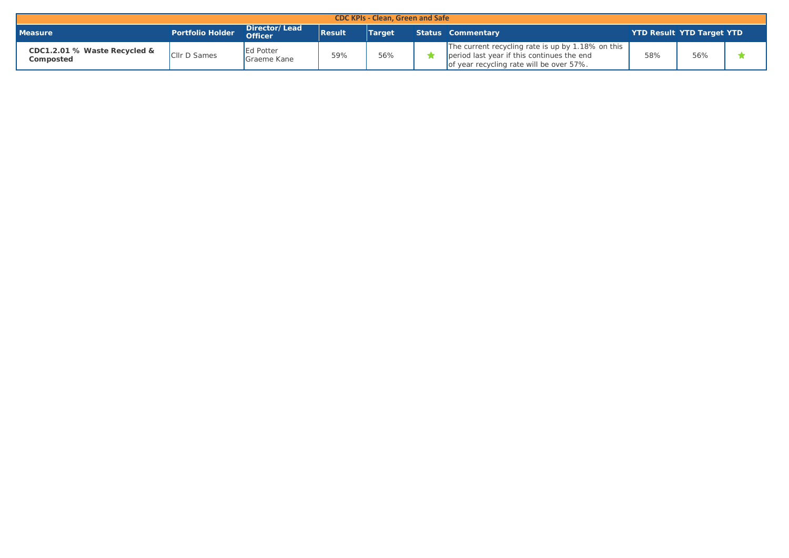| <b>CDC KPIs - Clean, Green and Safe</b>   |                         |                                 |               |               |  |                                                                                                                                             |                                  |     |  |  |  |  |
|-------------------------------------------|-------------------------|---------------------------------|---------------|---------------|--|---------------------------------------------------------------------------------------------------------------------------------------------|----------------------------------|-----|--|--|--|--|
| <b>Measure</b>                            | <b>Portfolio Holder</b> | Director/Lead<br><b>Officer</b> | <b>Result</b> | <b>Target</b> |  | Status Commentary                                                                                                                           | <b>YTD Result YTD Target YTD</b> |     |  |  |  |  |
| CDC1.2.01 % Waste Recycled &<br>Composted | <b>Cllr D Sames</b>     | Ed Potter<br>Graeme Kane        | 59%           | 56%           |  | The current recycling rate is up by 1.18% on this<br>period last year if this continues the end<br>of year recycling rate will be over 57%. | 58%                              | 56% |  |  |  |  |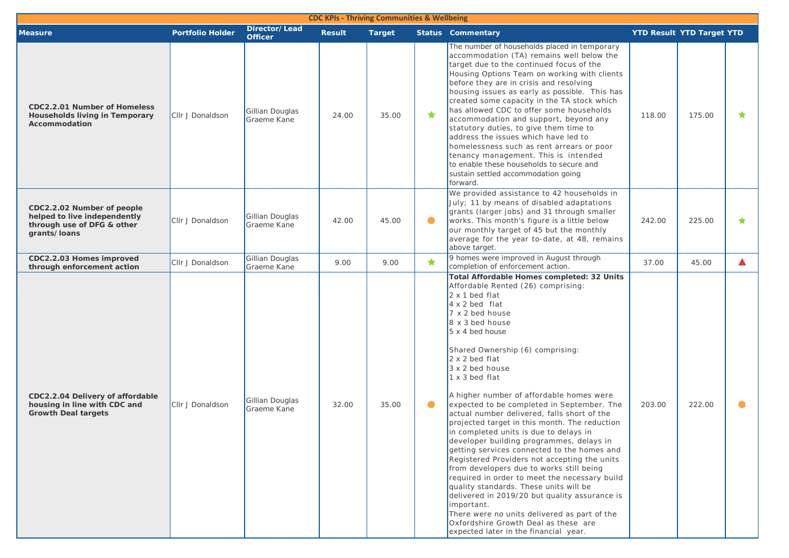| <b>CDC KPIs - Thriving Communities &amp; Wellbeing</b>                                                   |                         |                                 |               |               |            |                                                                                                                                                                                                                                                                                                                                                                                                                                                                                                                                                                                                                                                                                                                                                                                                                                                                                                                                                                                                                     |                                  |        |            |  |
|----------------------------------------------------------------------------------------------------------|-------------------------|---------------------------------|---------------|---------------|------------|---------------------------------------------------------------------------------------------------------------------------------------------------------------------------------------------------------------------------------------------------------------------------------------------------------------------------------------------------------------------------------------------------------------------------------------------------------------------------------------------------------------------------------------------------------------------------------------------------------------------------------------------------------------------------------------------------------------------------------------------------------------------------------------------------------------------------------------------------------------------------------------------------------------------------------------------------------------------------------------------------------------------|----------------------------------|--------|------------|--|
| <b>Measure</b>                                                                                           | <b>Portfolio Holder</b> | Director/Lead<br><b>Officer</b> | <b>Result</b> | <b>Target</b> |            | <b>Status Commentary</b>                                                                                                                                                                                                                                                                                                                                                                                                                                                                                                                                                                                                                                                                                                                                                                                                                                                                                                                                                                                            | <b>YTD Result YTD Target YTD</b> |        |            |  |
| CDC2.2.01 Number of Homeless<br>Households living in Temporary<br>Accommodation                          | Cllr J Donaldson        | Gillian Douglas<br>Graeme Kane  | 24.00         | 35.00         | ★          | The number of households placed in temporary<br>accommodation (TA) remains well below the<br>target due to the continued focus of the<br>Housing Options Team on working with clients<br>before they are in crisis and resolving<br>housing issues as early as possible. This has<br>created some capacity in the TA stock which<br>has allowed CDC to offer some households<br>accommodation and support, beyond any<br>statutory duties, to give them time to<br>address the issues which have led to<br>homelessness such as rent arrears or poor<br>tenancy management. This is intended<br>to enable these households to secure and<br>sustain settled accommodation going<br>forward.                                                                                                                                                                                                                                                                                                                         | 118.00                           | 175.00 | ★          |  |
| CDC2.2.02 Number of people<br>helped to live independently<br>through use of DFG & other<br>grants/loans | Cllr J Donaldson        | Gillian Douglas<br>Graeme Kane  | 42.00         | 45.00         | $\bullet$  | We provided assistance to 42 households in<br>July: 11 by means of disabled adaptations<br>grants (larger jobs) and 31 through smaller<br>works. This month's figure is a little below<br>our monthly target of 45 but the monthly<br>average for the year to-date, at 48, remains<br>above target.                                                                                                                                                                                                                                                                                                                                                                                                                                                                                                                                                                                                                                                                                                                 | 242.00                           | 225.00 | $\bigstar$ |  |
| CDC2.2.03 Homes improved<br>through enforcement action                                                   | Cllr J Donaldson        | Gillian Douglas<br>Graeme Kane  | 9.00          | 9.00          | $\bigstar$ | 9 homes were improved in August through<br>completion of enforcement action.                                                                                                                                                                                                                                                                                                                                                                                                                                                                                                                                                                                                                                                                                                                                                                                                                                                                                                                                        | 37.00                            | 45.00  | Δ          |  |
| CDC2.2.04 Delivery of affordable<br>housing in line with CDC and<br><b>Growth Deal targets</b>           | CIIr J Donaldson        | Gillian Douglas<br>Graeme Kane  | 32.00         | 35.00         | $\bullet$  | Total Affordable Homes completed: 32 Units<br>Affordable Rented (26) comprising:<br>$2 \times 1$ bed flat<br>$4 \times 2$ bed flat<br>7 x 2 bed house<br>8 x 3 bed house<br>5 x 4 bed house<br>Shared Ownership (6) comprising:<br>$2 \times 2$ bed flat<br>3 x 2 bed house<br>1 x 3 bed flat<br>A higher number of affordable homes were<br>expected to be completed in September. The<br>actual number delivered, falls short of the<br>projected target in this month. The reduction<br>in completed units is due to delays in<br>developer building programmes, delays in<br>getting services connected to the homes and<br>Registered Providers not accepting the units<br>from developers due to works still being<br>required in order to meet the necessary build<br>quality standards. These units will be<br>delivered in 2019/20 but quality assurance is<br>important.<br>There were no units delivered as part of the<br>Oxfordshire Growth Deal as these are<br>expected later in the financial year. | 203.00                           | 222.00 |            |  |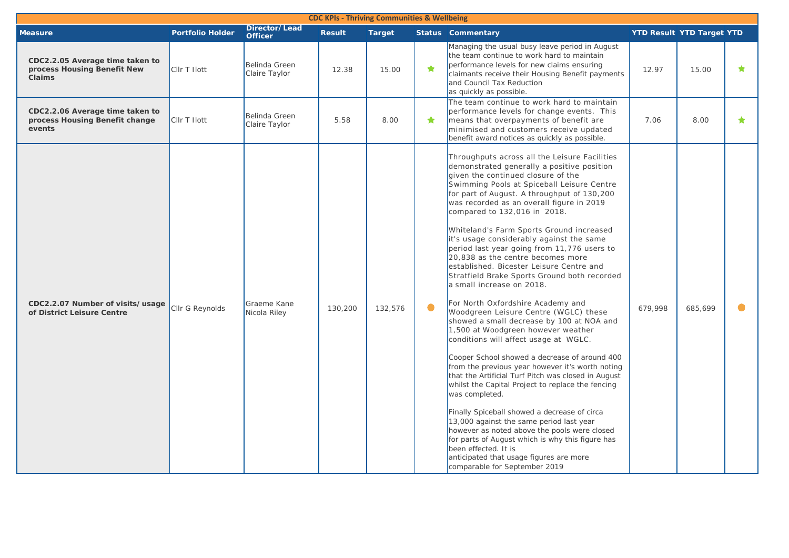| <b>CDC KPIs - Thriving Communities &amp; Wellbeing</b>                          |                         |                                 |               |               |           |                                                                                                                                                                                                                                                                                                                                                                                                                                                                                                                                                                                                                                                                                                                                                                                                                                                                                                                                                                                                                                                                                                                                                                                                                                                                                                                                                                   |         |                                  |            |
|---------------------------------------------------------------------------------|-------------------------|---------------------------------|---------------|---------------|-----------|-------------------------------------------------------------------------------------------------------------------------------------------------------------------------------------------------------------------------------------------------------------------------------------------------------------------------------------------------------------------------------------------------------------------------------------------------------------------------------------------------------------------------------------------------------------------------------------------------------------------------------------------------------------------------------------------------------------------------------------------------------------------------------------------------------------------------------------------------------------------------------------------------------------------------------------------------------------------------------------------------------------------------------------------------------------------------------------------------------------------------------------------------------------------------------------------------------------------------------------------------------------------------------------------------------------------------------------------------------------------|---------|----------------------------------|------------|
| <b>Measure</b>                                                                  | <b>Portfolio Holder</b> | Director/Lead<br><b>Officer</b> | <b>Result</b> | <b>Target</b> |           | <b>Status Commentary</b>                                                                                                                                                                                                                                                                                                                                                                                                                                                                                                                                                                                                                                                                                                                                                                                                                                                                                                                                                                                                                                                                                                                                                                                                                                                                                                                                          |         | <b>YTD Result YTD Target YTD</b> |            |
| CDC2.2.05 Average time taken to<br>process Housing Benefit New<br><b>Claims</b> | CIIr T Ilott            | Belinda Green<br>Claire Taylor  | 12.38         | 15.00         | ★         | Managing the usual busy leave period in August<br>the team continue to work hard to maintain<br>performance levels for new claims ensuring<br>claimants receive their Housing Benefit payments<br>and Council Tax Reduction<br>as quickly as possible.                                                                                                                                                                                                                                                                                                                                                                                                                                                                                                                                                                                                                                                                                                                                                                                                                                                                                                                                                                                                                                                                                                            | 12.97   | 15.00                            | $\bigstar$ |
| CDC2.2.06 Average time taken to<br>process Housing Benefit change<br>events     | CIIr T Ilott            | Belinda Green<br>Claire Taylor  | 5.58          | 8.00          | ★         | The team continue to work hard to maintain<br>performance levels for change events. This<br>means that overpayments of benefit are<br>minimised and customers receive updated<br>benefit award notices as quickly as possible.                                                                                                                                                                                                                                                                                                                                                                                                                                                                                                                                                                                                                                                                                                                                                                                                                                                                                                                                                                                                                                                                                                                                    | 7.06    | 8.00                             | $\bigstar$ |
| CDC2.2.07 Number of visits/usage<br>of District Leisure Centre                  | Cllr G Reynolds         | Graeme Kane<br>Nicola Riley     | 130,200       | 132,576       | $\bullet$ | Throughputs across all the Leisure Facilities<br>demonstrated generally a positive position<br>given the continued closure of the<br>Swimming Pools at Spiceball Leisure Centre<br>for part of August. A throughput of 130,200<br>was recorded as an overall figure in 2019<br>compared to 132,016 in 2018.<br>Whiteland's Farm Sports Ground increased<br>it's usage considerably against the same<br>period last year going from 11,776 users to<br>20,838 as the centre becomes more<br>established. Bicester Leisure Centre and<br>Stratfield Brake Sports Ground both recorded<br>a small increase on 2018.<br>For North Oxfordshire Academy and<br>Woodgreen Leisure Centre (WGLC) these<br>showed a small decrease by 100 at NOA and<br>1,500 at Woodgreen however weather<br>conditions will affect usage at WGLC.<br>Cooper School showed a decrease of around 400<br>from the previous year however it's worth noting<br>that the Artificial Turf Pitch was closed in August<br>whilst the Capital Project to replace the fencing<br>was completed.<br>Finally Spiceball showed a decrease of circa<br>13,000 against the same period last year<br>however as noted above the pools were closed<br>for parts of August which is why this figure has<br>been effected. It is<br>anticipated that usage figures are more<br>comparable for September 2019 | 679.998 | 685.699                          |            |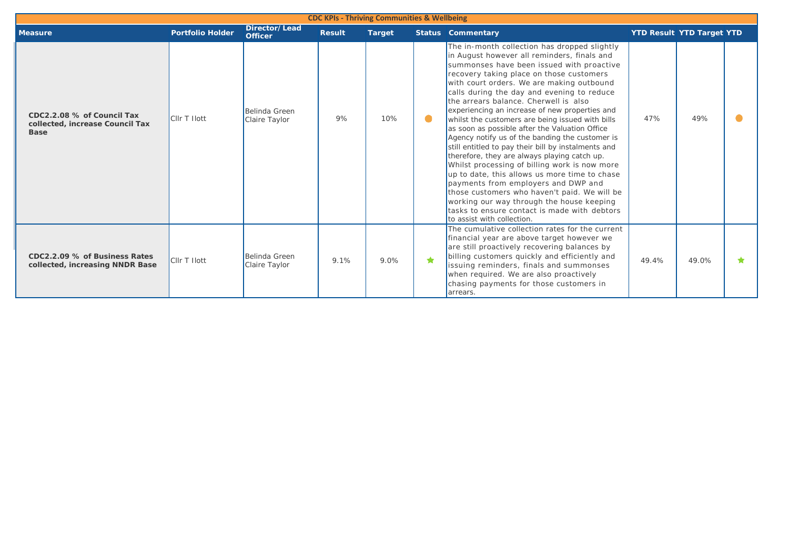| <b>CDC KPIs - Thriving Communities &amp; Wellbeing</b>                       |                         |                                 |               |               |            |                                                                                                                                                                                                                                                                                                                                                                                                                                                                                                                                                                                                                                                                                                                                                                                                                                                                                                                                                                 |                                  |       |  |
|------------------------------------------------------------------------------|-------------------------|---------------------------------|---------------|---------------|------------|-----------------------------------------------------------------------------------------------------------------------------------------------------------------------------------------------------------------------------------------------------------------------------------------------------------------------------------------------------------------------------------------------------------------------------------------------------------------------------------------------------------------------------------------------------------------------------------------------------------------------------------------------------------------------------------------------------------------------------------------------------------------------------------------------------------------------------------------------------------------------------------------------------------------------------------------------------------------|----------------------------------|-------|--|
| <b>Measure</b>                                                               | <b>Portfolio Holder</b> | Director/Lead<br><b>Officer</b> | <b>Result</b> | <b>Target</b> |            | <b>Status Commentary</b>                                                                                                                                                                                                                                                                                                                                                                                                                                                                                                                                                                                                                                                                                                                                                                                                                                                                                                                                        | <b>YTD Result YTD Target YTD</b> |       |  |
| CDC2.2.08 % of Council Tax<br>collected, increase Council Tax<br><b>Base</b> | <b>CIIr T Ilott</b>     | Belinda Green<br>Claire Taylor  | 9%            | 10%           | $\bullet$  | The in-month collection has dropped slightly<br>in August however all reminders, finals and<br>summonses have been issued with proactive<br>recovery taking place on those customers<br>with court orders. We are making outbound<br>calls during the day and evening to reduce<br>the arrears balance. Cherwell is also<br>experiencing an increase of new properties and<br>whilst the customers are being issued with bills<br>as soon as possible after the Valuation Office<br>Agency notify us of the banding the customer is<br>still entitled to pay their bill by instalments and<br>therefore, they are always playing catch up.<br>Whilst processing of billing work is now more<br>up to date, this allows us more time to chase<br>payments from employers and DWP and<br>those customers who haven't paid. We will be<br>working our way through the house keeping<br>Itasks to ensure contact is made with debtors<br>to assist with collection. | 47%                              | 49%   |  |
| CDC2.2.09 % of Business Rates<br>collected, increasing NNDR Base             | <b>CIIr T Ilott</b>     | Belinda Green<br>Claire Taylor  | 9.1%          | 9.0%          | $\bigstar$ | The cumulative collection rates for the current<br>financial year are above target however we<br>are still proactively recovering balances by<br>billing customers quickly and efficiently and<br>issuing reminders, finals and summonses<br>when required. We are also proactively<br>chasing payments for those customers in<br>arrears.                                                                                                                                                                                                                                                                                                                                                                                                                                                                                                                                                                                                                      | 49.4%                            | 49.0% |  |